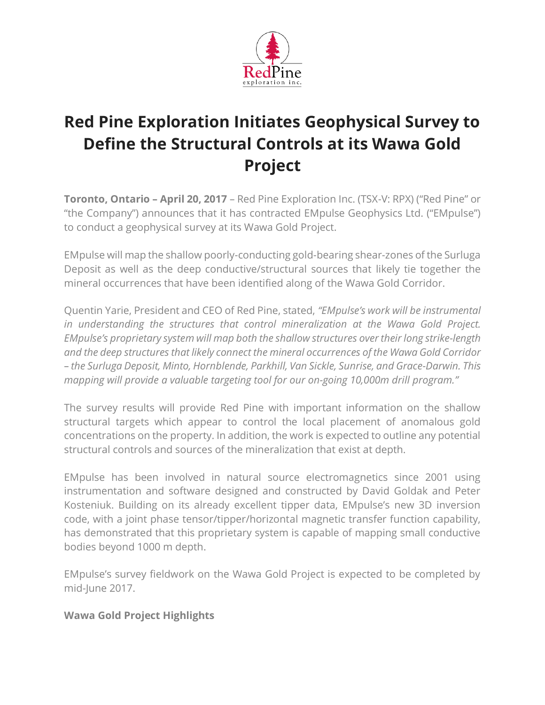

# **Red Pine Exploration Initiates Geophysical Survey to Define the Structural Controls at its Wawa Gold Project**

**Toronto, Ontario – April 20, 2017** – Red Pine Exploration Inc. (TSX-V: RPX) ("Red Pine" or "the Company") announces that it has contracted EMpulse Geophysics Ltd. ("EMpulse") to conduct a geophysical survey at its Wawa Gold Project.

EMpulse will map the shallow poorly-conducting gold-bearing shear-zones of the Surluga Deposit as well as the deep conductive/structural sources that likely tie together the mineral occurrences that have been identified along of the Wawa Gold Corridor.

Quentin Yarie, President and CEO of Red Pine, stated, *"EMpulse's work will be instrumental in understanding the structures that control mineralization at the Wawa Gold Project. EMpulse's proprietary system will map both the shallow structures overtheirlong strike-length and the deep structures that likely connect the mineral occurrences of the Wawa Gold Corridor – the Surluga Deposit, Minto, Hornblende, Parkhill, Van Sickle, Sunrise, and Grace-Darwin. This mapping will provide a valuable targeting tool for our on-going 10,000m drill program."*

The survey results will provide Red Pine with important information on the shallow structural targets which appear to control the local placement of anomalous gold concentrations on the property. In addition, the work is expected to outline any potential structural controls and sources of the mineralization that exist at depth.

EMpulse has been involved in natural source electromagnetics since 2001 using instrumentation and software designed and constructed by David Goldak and Peter Kosteniuk. Building on its already excellent tipper data, EMpulse's new 3D inversion code, with a joint phase tensor/tipper/horizontal magnetic transfer function capability, has demonstrated that this proprietary system is capable of mapping small conductive bodies beyond 1000 m depth.

EMpulse's survey fieldwork on the Wawa Gold Project is expected to be completed by mid-June 2017.

### **Wawa Gold Project Highlights**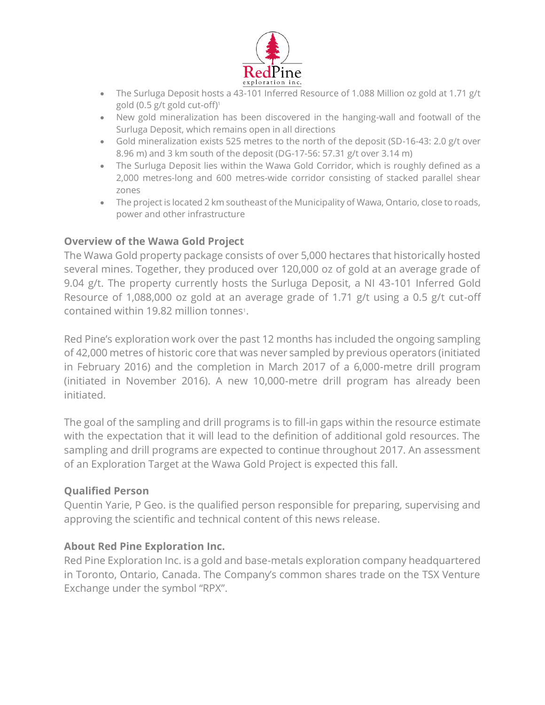

- The Surluga Deposit hosts a 43-101 Inferred Resource of 1.088 Million oz gold at 1.71 g/t gold (0.5 g/t gold cut-off)<sup>1</sup>
- New gold mineralization has been discovered in the hanging-wall and footwall of the Surluga Deposit, which remains open in all directions
- Gold mineralization exists 525 metres to the north of the deposit (SD-16-43: 2.0 g/t over 8.96 m) and 3 km south of the deposit (DG-17-56: 57.31 g/t over 3.14 m)
- The Surluga Deposit lies within the Wawa Gold Corridor, which is roughly defined as a 2,000 metres-long and 600 metres-wide corridor consisting of stacked parallel shear zones
- The project is located 2 km southeast of the Municipality of Wawa, Ontario, close to roads, power and other infrastructure

## **Overview of the Wawa Gold Project**

The Wawa Gold property package consists of over 5,000 hectares that historically hosted several mines. Together, they produced over 120,000 oz of gold at an average grade of 9.04 g/t. The property currently hosts the Surluga Deposit, a NI 43-101 Inferred Gold Resource of 1,088,000 oz gold at an average grade of 1.71 g/t using a 0.5 g/t cut-off contained within 19.82 million tonnes<sup>1</sup>.

Red Pine's exploration work over the past 12 months has included the ongoing sampling of 42,000 metres of historic core that was never sampled by previous operators (initiated in February 2016) and the completion in March 2017 of a 6,000-metre drill program (initiated in November 2016). A new 10,000-metre drill program has already been initiated.

The goal of the sampling and drill programs is to fill-in gaps within the resource estimate with the expectation that it will lead to the definition of additional gold resources. The sampling and drill programs are expected to continue throughout 2017. An assessment of an Exploration Target at the Wawa Gold Project is expected this fall.

## **Qualified Person**

Quentin Yarie, P Geo. is the qualified person responsible for preparing, supervising and approving the scientific and technical content of this news release.

## **About Red Pine Exploration Inc.**

Red Pine Exploration Inc. is a gold and base-metals exploration company headquartered in Toronto, Ontario, Canada. The Company's common shares trade on the TSX Venture Exchange under the symbol "RPX".